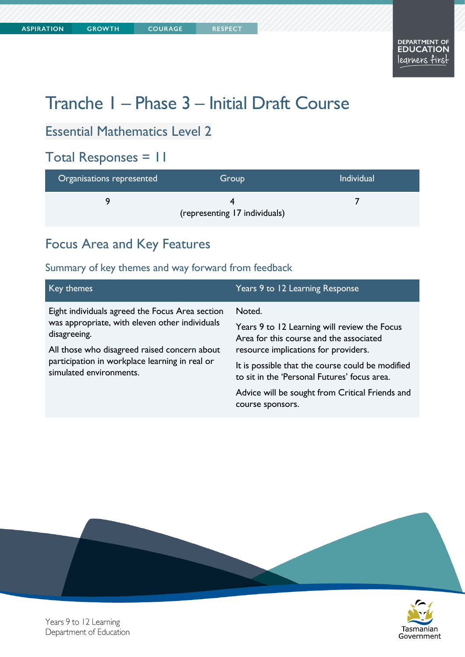**COURAGE** 

# Tranche 1 – Phase 3 – Initial Draft Course

# Essential Mathematics Level 2

## Total Responses = 11

| Organisations represented | Group                         | <b>Individual</b> |
|---------------------------|-------------------------------|-------------------|
|                           | (representing 17 individuals) |                   |

# Focus Area and Key Features

#### Summary of key themes and way forward from feedback

| Key themes                                                                                                                | Years 9 to 12 Learning Response                                                                  |
|---------------------------------------------------------------------------------------------------------------------------|--------------------------------------------------------------------------------------------------|
| Eight individuals agreed the Focus Area section                                                                           | Noted.                                                                                           |
| was appropriate, with eleven other individuals<br>disagreeing.                                                            | Years 9 to 12 Learning will review the Focus<br>Area for this course and the associated          |
| All those who disagreed raised concern about<br>participation in workplace learning in real or<br>simulated environments. | resource implications for providers.                                                             |
|                                                                                                                           | It is possible that the course could be modified<br>to sit in the 'Personal Futures' focus area. |
|                                                                                                                           | Advice will be sought from Critical Friends and<br>course sponsors.                              |





Years 9 to 12 Learning Department of Education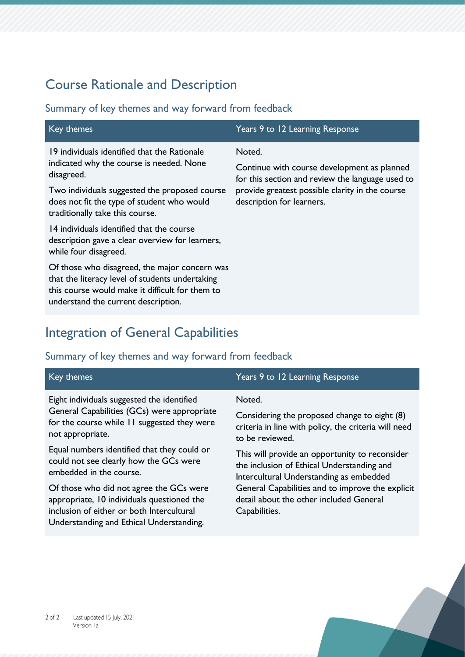# Course Rationale and Description

#### Summary of key themes and way forward from feedback

| Key themes                                                                                                                                                                                                                               | Years 9 to 12 Learning Response                                                                                                                                                           |
|------------------------------------------------------------------------------------------------------------------------------------------------------------------------------------------------------------------------------------------|-------------------------------------------------------------------------------------------------------------------------------------------------------------------------------------------|
| 19 individuals identified that the Rationale<br>indicated why the course is needed. None<br>disagreed.<br>Two individuals suggested the proposed course<br>does not fit the type of student who would<br>traditionally take this course. | Noted.<br>Continue with course development as planned<br>for this section and review the language used to<br>provide greatest possible clarity in the course<br>description for learners. |
| 14 individuals identified that the course<br>description gave a clear overview for learners,<br>while four disagreed.                                                                                                                    |                                                                                                                                                                                           |
| Of those who disagreed, the major concern was<br>that the literacy level of students undertaking<br>this course would make it difficult for them to<br>understand the current description.                                               |                                                                                                                                                                                           |

# Integration of General Capabilities

| Key themes                                                                                                                                                                     | Years 9 to 12 Learning Response                                                                                                         |
|--------------------------------------------------------------------------------------------------------------------------------------------------------------------------------|-----------------------------------------------------------------------------------------------------------------------------------------|
| Eight individuals suggested the identified                                                                                                                                     | Noted.                                                                                                                                  |
| General Capabilities (GCs) were appropriate<br>for the course while 11 suggested they were<br>not appropriate.                                                                 | Considering the proposed change to eight (8)<br>criteria in line with policy, the criteria will need<br>to be reviewed.                 |
| Equal numbers identified that they could or<br>could not see clearly how the GCs were<br>embedded in the course.                                                               | This will provide an opportunity to reconsider<br>the inclusion of Ethical Understanding and<br>Intercultural Understanding as embedded |
| Of those who did not agree the GCs were<br>appropriate, 10 individuals questioned the<br>inclusion of either or both Intercultural<br>Understanding and Ethical Understanding. | General Capabilities and to improve the explicit<br>detail about the other included General<br>Capabilities.                            |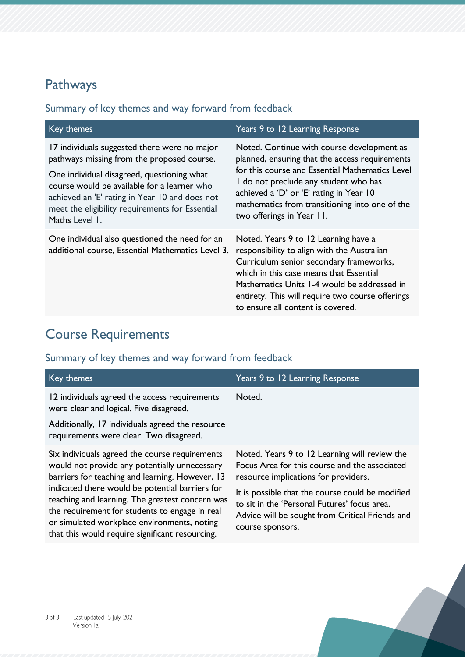# Pathways

## Summary of key themes and way forward from feedback

| Key themes                                                                                                                                                                                                                                                                                                     | Years 9 to 12 Learning Response                                                                                                                                                                                                                                                                                    |
|----------------------------------------------------------------------------------------------------------------------------------------------------------------------------------------------------------------------------------------------------------------------------------------------------------------|--------------------------------------------------------------------------------------------------------------------------------------------------------------------------------------------------------------------------------------------------------------------------------------------------------------------|
| 17 individuals suggested there were no major<br>pathways missing from the proposed course.<br>One individual disagreed, questioning what<br>course would be available for a learner who<br>achieved an 'E' rating in Year 10 and does not<br>meet the eligibility requirements for Essential<br>Maths Level 1. | Noted. Continue with course development as<br>planned, ensuring that the access requirements<br>for this course and Essential Mathematics Level<br>I do not preclude any student who has<br>achieved a 'D' or 'E' rating in Year 10<br>mathematics from transitioning into one of the<br>two offerings in Year 11. |
| One individual also questioned the need for an<br>additional course, Essential Mathematics Level 3.                                                                                                                                                                                                            | Noted. Years 9 to 12 Learning have a<br>responsibility to align with the Australian<br>Curriculum senior secondary frameworks,<br>which in this case means that Essential<br>Mathematics Units 1-4 would be addressed in<br>entirety. This will require two course offerings<br>to ensure all content is covered.  |

# Course Requirements

| Key themes                                                                                                                                                                                                                                                                                                                                                                                                   | Years 9 to 12 Learning Response                                                                                                                                                                                                                                                                                   |
|--------------------------------------------------------------------------------------------------------------------------------------------------------------------------------------------------------------------------------------------------------------------------------------------------------------------------------------------------------------------------------------------------------------|-------------------------------------------------------------------------------------------------------------------------------------------------------------------------------------------------------------------------------------------------------------------------------------------------------------------|
| 12 individuals agreed the access requirements<br>were clear and logical. Five disagreed.                                                                                                                                                                                                                                                                                                                     | Noted.                                                                                                                                                                                                                                                                                                            |
| Additionally, 17 individuals agreed the resource<br>requirements were clear. Two disagreed.                                                                                                                                                                                                                                                                                                                  |                                                                                                                                                                                                                                                                                                                   |
| Six individuals agreed the course requirements<br>would not provide any potentially unnecessary<br>barriers for teaching and learning. However, 13<br>indicated there would be potential barriers for<br>teaching and learning. The greatest concern was<br>the requirement for students to engage in real<br>or simulated workplace environments, noting<br>that this would require significant resourcing. | Noted. Years 9 to 12 Learning will review the<br>Focus Area for this course and the associated<br>resource implications for providers.<br>It is possible that the course could be modified<br>to sit in the 'Personal Futures' focus area.<br>Advice will be sought from Critical Friends and<br>course sponsors. |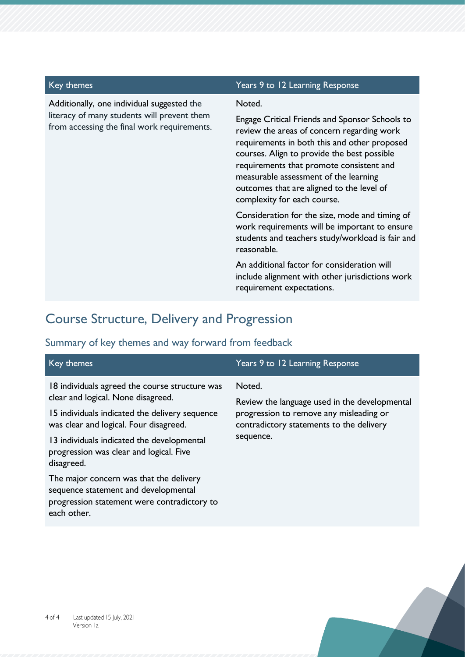Additionally, one individual suggested the literacy of many students will prevent them from accessing the final work requirements.

#### Key themes Themes Themes Themes Themes Themes Theory and Themes Themes Themes Themes Themes Themes Themes Themes Themes Themes Themes Themes Themes Themes Themes Themes Themes Themes Themes Themes Themes Themes Themes Them

#### Noted.

Engage Critical Friends and Sponsor Schools to review the areas of concern regarding work requirements in both this and other proposed courses. Align to provide the best possible requirements that promote consistent and measurable assessment of the learning outcomes that are aligned to the level of complexity for each course.

Consideration for the size, mode and timing of work requirements will be important to ensure students and teachers study/workload is fair and reasonable.

An additional factor for consideration will include alignment with other jurisdictions work requirement expectations.

## Course Structure, Delivery and Progression

| Key themes                                                                                                                                    | Years 9 to 12 Learning Response                                                     |
|-----------------------------------------------------------------------------------------------------------------------------------------------|-------------------------------------------------------------------------------------|
| 18 individuals agreed the course structure was                                                                                                | Noted.                                                                              |
| clear and logical. None disagreed.                                                                                                            | Review the language used in the developmental                                       |
| 15 individuals indicated the delivery sequence<br>was clear and logical. Four disagreed.                                                      | progression to remove any misleading or<br>contradictory statements to the delivery |
| 13 individuals indicated the developmental<br>progression was clear and logical. Five<br>disagreed.                                           | sequence.                                                                           |
| The major concern was that the delivery<br>sequence statement and developmental<br>progression statement were contradictory to<br>each other. |                                                                                     |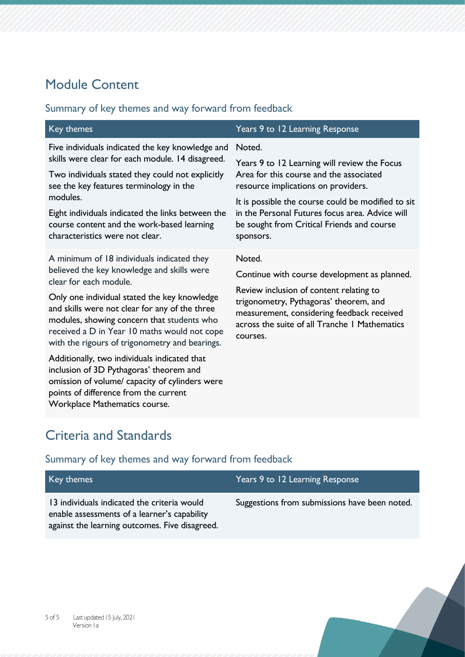# Module Content

## Summary of key themes and way forward from feedback

| Key themes                                                                                                                                                                                                                                                                                                                                                           | Years 9 to 12 Learning Response                                                                                                                                                                                                                                                                              |
|----------------------------------------------------------------------------------------------------------------------------------------------------------------------------------------------------------------------------------------------------------------------------------------------------------------------------------------------------------------------|--------------------------------------------------------------------------------------------------------------------------------------------------------------------------------------------------------------------------------------------------------------------------------------------------------------|
| Five individuals indicated the key knowledge and<br>skills were clear for each module. 14 disagreed.<br>Two individuals stated they could not explicitly<br>see the key features terminology in the<br>modules.<br>Eight individuals indicated the links between the<br>course content and the work-based learning<br>characteristics were not clear.                | Noted.<br>Years 9 to 12 Learning will review the Focus<br>Area for this course and the associated<br>resource implications on providers.<br>It is possible the course could be modified to sit<br>in the Personal Futures focus area. Advice will<br>be sought from Critical Friends and course<br>sponsors. |
| A minimum of 18 individuals indicated they<br>believed the key knowledge and skills were<br>clear for each module.<br>Only one individual stated the key knowledge<br>and skills were not clear for any of the three<br>modules, showing concern that students who<br>received a D in Year 10 maths would not cope<br>with the rigours of trigonometry and bearings. | Noted.<br>Continue with course development as planned.<br>Review inclusion of content relating to<br>trigonometry, Pythagoras' theorem, and<br>measurement, considering feedback received<br>across the suite of all Tranche I Mathematics<br>courses.                                                       |
| Additionally, two individuals indicated that<br>inclusion of 3D Pythagoras' theorem and<br>omission of volume/ capacity of cylinders were<br>points of difference from the current<br>Workplace Mathematics course.                                                                                                                                                  |                                                                                                                                                                                                                                                                                                              |

# Criteria and Standards

| Key themes                                                                                                                                    | Years 9 to 12 Learning Response               |
|-----------------------------------------------------------------------------------------------------------------------------------------------|-----------------------------------------------|
| 13 individuals indicated the criteria would<br>enable assessments of a learner's capability<br>against the learning outcomes. Five disagreed. | Suggestions from submissions have been noted. |
|                                                                                                                                               |                                               |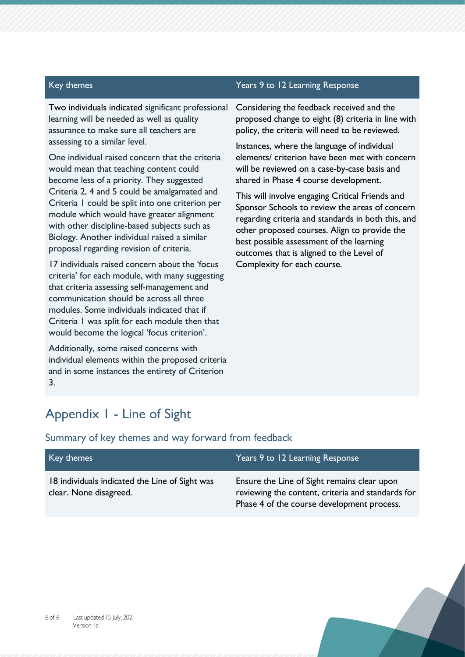Two individuals indicated significant professional learning will be needed as well as quality assurance to make sure all teachers are assessing to a similar level.

One individual raised concern that the criteria would mean that teaching content could become less of a priority. They suggested Criteria 2, 4 and 5 could be amalgamated and Criteria 1 could be split into one criterion per module which would have greater alignment with other discipline-based subjects such as Biology. Another individual raised a similar proposal regarding revision of criteria.

17 individuals raised concern about the 'focus criteria' for each module, with many suggesting that criteria assessing self-management and communication should be across all three modules. Some individuals indicated that if Criteria 1 was split for each module then that would become the logical 'focus criterion'.

Additionally, some raised concerns with individual elements within the proposed criteria and in some instances the entirety of Criterion 3.

#### Key themes Years 9 to 12 Learning Response

Considering the feedback received and the proposed change to eight (8) criteria in line with policy, the criteria will need to be reviewed.

Instances, where the language of individual elements/ criterion have been met with concern will be reviewed on a case-by-case basis and shared in Phase 4 course development.

This will involve engaging Critical Friends and Sponsor Schools to review the areas of concern regarding criteria and standards in both this, and other proposed courses. Align to provide the best possible assessment of the learning outcomes that is aligned to the Level of Complexity for each course.

## Appendix 1 - Line of Sight

| Key themes                                                               | Years 9 to 12 Learning Response                                                                                                                |
|--------------------------------------------------------------------------|------------------------------------------------------------------------------------------------------------------------------------------------|
| 18 individuals indicated the Line of Sight was<br>clear. None disagreed. | Ensure the Line of Sight remains clear upon<br>reviewing the content, criteria and standards for<br>Phase 4 of the course development process. |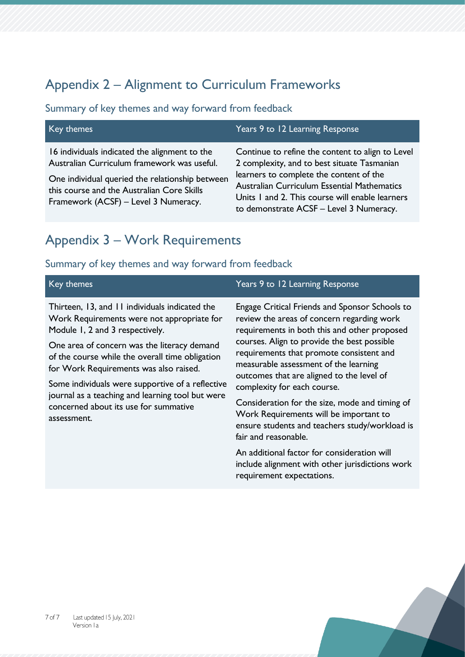# Appendix 2 – Alignment to Curriculum Frameworks

#### Summary of key themes and way forward from feedback

| Key themes                                                                                                                                                                                                                            | Years 9 to 12 Learning Response                                                                                                                                                                                                                                                         |
|---------------------------------------------------------------------------------------------------------------------------------------------------------------------------------------------------------------------------------------|-----------------------------------------------------------------------------------------------------------------------------------------------------------------------------------------------------------------------------------------------------------------------------------------|
| 16 individuals indicated the alignment to the<br>Australian Curriculum framework was useful.<br>One individual queried the relationship between<br>this course and the Australian Core Skills<br>Framework (ACSF) - Level 3 Numeracy. | Continue to refine the content to align to Level<br>2 complexity, and to best situate Tasmanian<br>learners to complete the content of the<br>Australian Curriculum Essential Mathematics<br>Units 1 and 2. This course will enable learners<br>to demonstrate ACSF - Level 3 Numeracy. |

# Appendix 3 – Work Requirements

#### Summary of key themes and way forward from feedback

| Key themes                                                                                                                                                                                                                                                                                                                                                                                                                                  | Years 9 to 12 Learning Response                                                                                                                                                                                                                                                                                                                                                                                                                                                                                                    |
|---------------------------------------------------------------------------------------------------------------------------------------------------------------------------------------------------------------------------------------------------------------------------------------------------------------------------------------------------------------------------------------------------------------------------------------------|------------------------------------------------------------------------------------------------------------------------------------------------------------------------------------------------------------------------------------------------------------------------------------------------------------------------------------------------------------------------------------------------------------------------------------------------------------------------------------------------------------------------------------|
| Thirteen, 13, and 11 individuals indicated the<br>Work Requirements were not appropriate for<br>Module 1, 2 and 3 respectively.<br>One area of concern was the literacy demand<br>of the course while the overall time obligation<br>for Work Requirements was also raised.<br>Some individuals were supportive of a reflective<br>journal as a teaching and learning tool but were<br>concerned about its use for summative<br>assessment. | Engage Critical Friends and Sponsor Schools to<br>review the areas of concern regarding work<br>requirements in both this and other proposed<br>courses. Align to provide the best possible<br>requirements that promote consistent and<br>measurable assessment of the learning<br>outcomes that are aligned to the level of<br>complexity for each course.<br>Consideration for the size, mode and timing of<br>Work Requirements will be important to<br>ensure students and teachers study/workload is<br>fair and reasonable. |
|                                                                                                                                                                                                                                                                                                                                                                                                                                             | An additional factor for consideration will<br>include alignment with other jurisdictions work                                                                                                                                                                                                                                                                                                                                                                                                                                     |

requirement expectations.